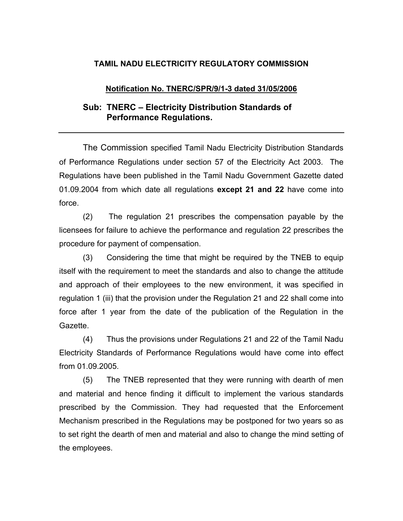## **TAMIL NADU ELECTRICITY REGULATORY COMMISSION**

## **Notification No. TNERC/SPR/9/1-3 dated 31/05/2006**

## **Sub: TNERC – Electricity Distribution Standards of Performance Regulations.**

The Commission specified Tamil Nadu Electricity Distribution Standards of Performance Regulations under section 57 of the Electricity Act 2003. The Regulations have been published in the Tamil Nadu Government Gazette dated 01.09.2004 from which date all regulations **except 21 and 22** have come into force.

(2) The regulation 21 prescribes the compensation payable by the licensees for failure to achieve the performance and regulation 22 prescribes the procedure for payment of compensation.

(3) Considering the time that might be required by the TNEB to equip itself with the requirement to meet the standards and also to change the attitude and approach of their employees to the new environment, it was specified in regulation 1 (iii) that the provision under the Regulation 21 and 22 shall come into force after 1 year from the date of the publication of the Regulation in the Gazette.

(4) Thus the provisions under Regulations 21 and 22 of the Tamil Nadu Electricity Standards of Performance Regulations would have come into effect from 01.09.2005.

(5) The TNEB represented that they were running with dearth of men and material and hence finding it difficult to implement the various standards prescribed by the Commission. They had requested that the Enforcement Mechanism prescribed in the Regulations may be postponed for two years so as to set right the dearth of men and material and also to change the mind setting of the employees.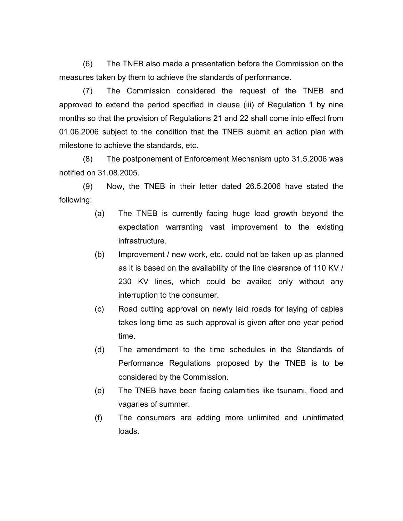(6) The TNEB also made a presentation before the Commission on the measures taken by them to achieve the standards of performance.

(7) The Commission considered the request of the TNEB and approved to extend the period specified in clause (iii) of Regulation 1 by nine months so that the provision of Regulations 21 and 22 shall come into effect from 01.06.2006 subject to the condition that the TNEB submit an action plan with milestone to achieve the standards, etc.

(8) The postponement of Enforcement Mechanism upto 31.5.2006 was notified on 31.08.2005.

(9) Now, the TNEB in their letter dated 26.5.2006 have stated the following:

- (a) The TNEB is currently facing huge load growth beyond the expectation warranting vast improvement to the existing infrastructure.
- (b) Improvement / new work, etc. could not be taken up as planned as it is based on the availability of the line clearance of 110 KV / 230 KV lines, which could be availed only without any interruption to the consumer.
- (c) Road cutting approval on newly laid roads for laying of cables takes long time as such approval is given after one year period time.
- (d) The amendment to the time schedules in the Standards of Performance Regulations proposed by the TNEB is to be considered by the Commission.
- (e) The TNEB have been facing calamities like tsunami, flood and vagaries of summer.
- (f) The consumers are adding more unlimited and unintimated loads.